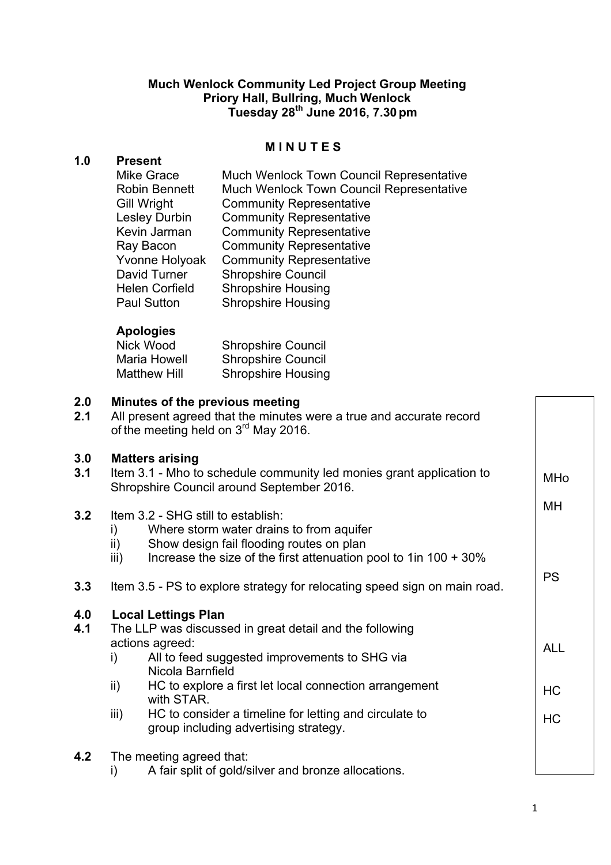## **Much Wenlock Community Led Project Group Meeting Priory Hall, Bullring, Much Wenlock Tuesday 28th June 2016, 7.30pm**

#### **M I N U T E S**

## **1.0 Present**

| <b>Mike Grace</b>     | <b>Much Wenlock Town Council Representative</b> |
|-----------------------|-------------------------------------------------|
| <b>Robin Bennett</b>  | Much Wenlock Town Council Representative        |
| <b>Gill Wright</b>    | <b>Community Representative</b>                 |
| Lesley Durbin         | <b>Community Representative</b>                 |
| Kevin Jarman          | <b>Community Representative</b>                 |
| Ray Bacon             | <b>Community Representative</b>                 |
| Yvonne Holyoak        | <b>Community Representative</b>                 |
| David Turner          | <b>Shropshire Council</b>                       |
| <b>Helen Corfield</b> | <b>Shropshire Housing</b>                       |
| <b>Paul Sutton</b>    | <b>Shropshire Housing</b>                       |
|                       |                                                 |

## **Apologies**

| Nick Wood           | <b>Shropshire Council</b> |
|---------------------|---------------------------|
| Maria Howell        | <b>Shropshire Council</b> |
| <b>Matthew Hill</b> | <b>Shropshire Housing</b> |

# **2.0 Minutes of the previous meeting**

| 2.1 | All present agreed that the minutes were a true and accurate record |
|-----|---------------------------------------------------------------------|
|     | of the meeting held on 3 <sup>rd</sup> May 2016.                    |

## **3.0 Matters arising**

| 3.0<br>3.1 | <b>Matters arising</b><br>Item 3.1 - Mho to schedule community led monies grant application to<br>Shropshire Council around September 2016.                                                                                                                                                                                                                                   |           |  |
|------------|-------------------------------------------------------------------------------------------------------------------------------------------------------------------------------------------------------------------------------------------------------------------------------------------------------------------------------------------------------------------------------|-----------|--|
| 3.2        | Item 3.2 - SHG still to establish:<br>Where storm water drains to from aquifer<br>i)<br>ii)<br>Show design fail flooding routes on plan<br>Increase the size of the first attenuation pool to 1 in $100 + 30\%$<br>iii)                                                                                                                                                       |           |  |
| 3.3        | Item 3.5 - PS to explore strategy for relocating speed sign on main road.                                                                                                                                                                                                                                                                                                     | <b>PS</b> |  |
| 4.0<br>4.1 | <b>Local Lettings Plan</b><br>The LLP was discussed in great detail and the following<br>actions agreed:<br>All to feed suggested improvements to SHG via<br>i)<br>Nicola Barnfield<br>HC to explore a first let local connection arrangement<br>ii)<br>with STAR.<br>HC to consider a timeline for letting and circulate to<br>iii)<br>group including advertising strategy. |           |  |
| 4.2        | The meeting agreed that:<br>A fair split of gold/silver and bronze allocations.<br>i)                                                                                                                                                                                                                                                                                         |           |  |